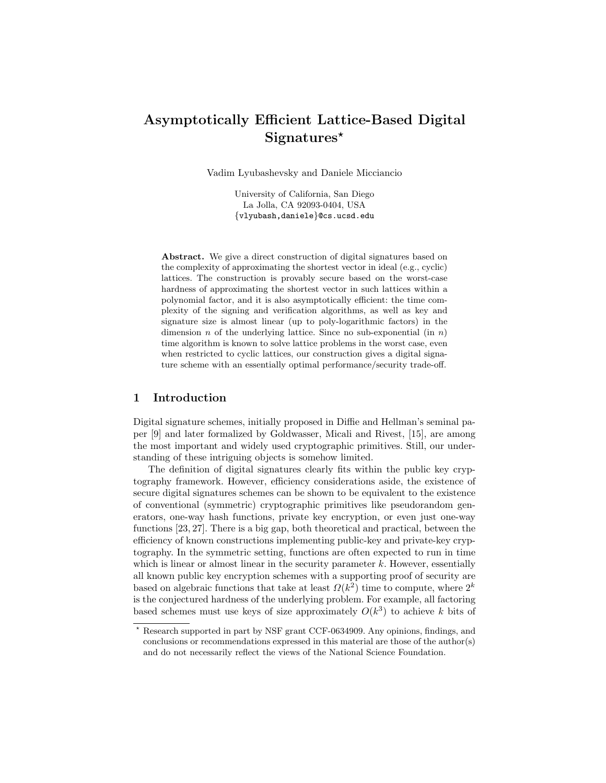# Asymptotically Efficient Lattice-Based Digital  $Signatures*$

Vadim Lyubashevsky and Daniele Micciancio

University of California, San Diego La Jolla, CA 92093-0404, USA {vlyubash,daniele}@cs.ucsd.edu

Abstract. We give a direct construction of digital signatures based on the complexity of approximating the shortest vector in ideal (e.g., cyclic) lattices. The construction is provably secure based on the worst-case hardness of approximating the shortest vector in such lattices within a polynomial factor, and it is also asymptotically efficient: the time complexity of the signing and verification algorithms, as well as key and signature size is almost linear (up to poly-logarithmic factors) in the dimension *n* of the underlying lattice. Since no sub-exponential (in *n*) time algorithm is known to solve lattice problems in the worst case, even when restricted to cyclic lattices, our construction gives a digital signature scheme with an essentially optimal performance/security trade-off.

# 1 Introduction

Digital signature schemes, initially proposed in Diffie and Hellman's seminal paper [9] and later formalized by Goldwasser, Micali and Rivest, [15], are among the most important and widely used cryptographic primitives. Still, our understanding of these intriguing objects is somehow limited.

The definition of digital signatures clearly fits within the public key cryptography framework. However, efficiency considerations aside, the existence of secure digital signatures schemes can be shown to be equivalent to the existence of conventional (symmetric) cryptographic primitives like pseudorandom generators, one-way hash functions, private key encryption, or even just one-way functions [23, 27]. There is a big gap, both theoretical and practical, between the efficiency of known constructions implementing public-key and private-key cryptography. In the symmetric setting, functions are often expected to run in time which is linear or almost linear in the security parameter  $k$ . However, essentially all known public key encryption schemes with a supporting proof of security are based on algebraic functions that take at least  $\Omega(k^2)$  time to compute, where  $2^k$ is the conjectured hardness of the underlying problem. For example, all factoring based schemes must use keys of size approximately  $O(k^3)$  to achieve k bits of

Research supported in part by NSF grant CCF-0634909. Any opinions, findings, and conclusions or recommendations expressed in this material are those of the author(s) and do not necessarily reflect the views of the National Science Foundation.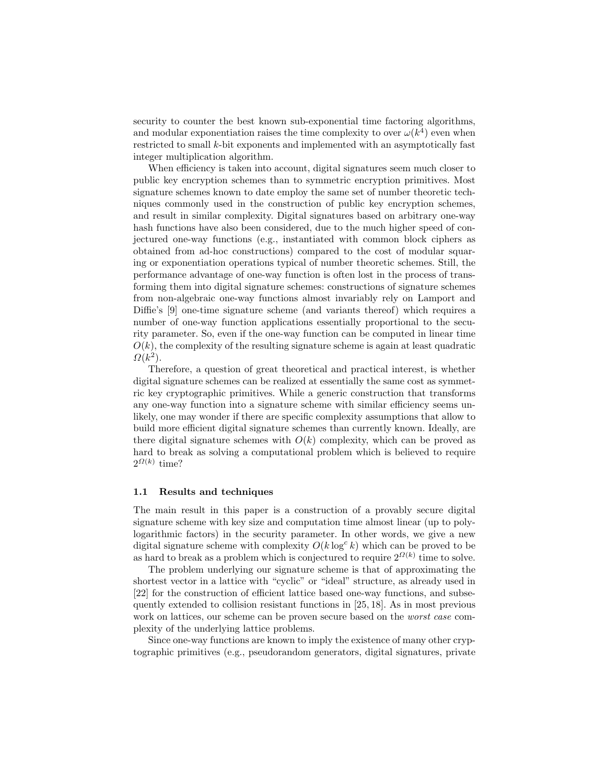security to counter the best known sub-exponential time factoring algorithms, and modular exponentiation raises the time complexity to over  $\omega(k^4)$  even when restricted to small k-bit exponents and implemented with an asymptotically fast integer multiplication algorithm.

When efficiency is taken into account, digital signatures seem much closer to public key encryption schemes than to symmetric encryption primitives. Most signature schemes known to date employ the same set of number theoretic techniques commonly used in the construction of public key encryption schemes, and result in similar complexity. Digital signatures based on arbitrary one-way hash functions have also been considered, due to the much higher speed of conjectured one-way functions (e.g., instantiated with common block ciphers as obtained from ad-hoc constructions) compared to the cost of modular squaring or exponentiation operations typical of number theoretic schemes. Still, the performance advantage of one-way function is often lost in the process of transforming them into digital signature schemes: constructions of signature schemes from non-algebraic one-way functions almost invariably rely on Lamport and Diffie's [9] one-time signature scheme (and variants thereof) which requires a number of one-way function applications essentially proportional to the security parameter. So, even if the one-way function can be computed in linear time  $O(k)$ , the complexity of the resulting signature scheme is again at least quadratic  $\Omega(k^2)$ .

Therefore, a question of great theoretical and practical interest, is whether digital signature schemes can be realized at essentially the same cost as symmetric key cryptographic primitives. While a generic construction that transforms any one-way function into a signature scheme with similar efficiency seems unlikely, one may wonder if there are specific complexity assumptions that allow to build more efficient digital signature schemes than currently known. Ideally, are there digital signature schemes with  $O(k)$  complexity, which can be proved as hard to break as solving a computational problem which is believed to require  $2^{\Omega(k)}$  time?

### 1.1 Results and techniques

The main result in this paper is a construction of a provably secure digital signature scheme with key size and computation time almost linear (up to polylogarithmic factors) in the security parameter. In other words, we give a new digital signature scheme with complexity  $O(k \log^c k)$  which can be proved to be as hard to break as a problem which is conjectured to require  $2^{Q(k)}$  time to solve.

The problem underlying our signature scheme is that of approximating the shortest vector in a lattice with "cyclic" or "ideal" structure, as already used in [22] for the construction of efficient lattice based one-way functions, and subsequently extended to collision resistant functions in [25, 18]. As in most previous work on lattices, our scheme can be proven secure based on the *worst case* complexity of the underlying lattice problems.

Since one-way functions are known to imply the existence of many other cryptographic primitives (e.g., pseudorandom generators, digital signatures, private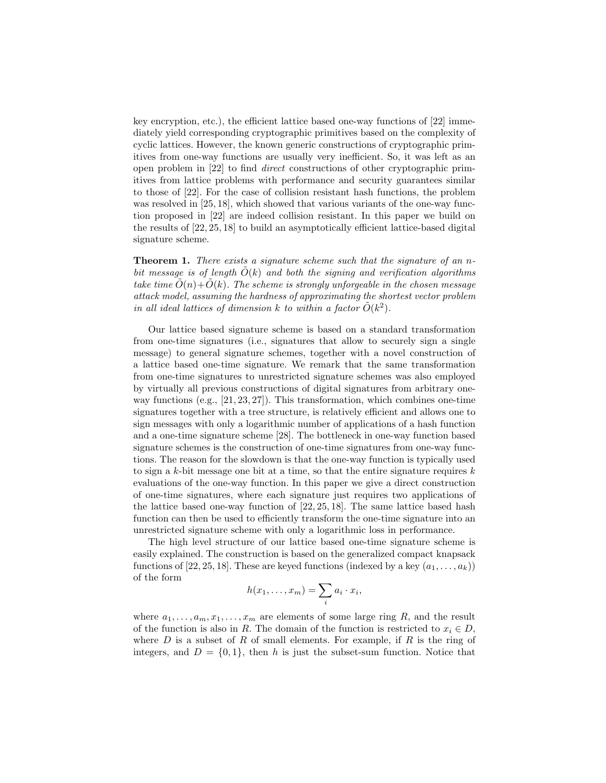key encryption, etc.), the efficient lattice based one-way functions of [22] immediately yield corresponding cryptographic primitives based on the complexity of cyclic lattices. However, the known generic constructions of cryptographic primitives from one-way functions are usually very inefficient. So, it was left as an open problem in [22] to find direct constructions of other cryptographic primitives from lattice problems with performance and security guarantees similar to those of [22]. For the case of collision resistant hash functions, the problem was resolved in [25, 18], which showed that various variants of the one-way function proposed in [22] are indeed collision resistant. In this paper we build on the results of [22, 25, 18] to build an asymptotically efficient lattice-based digital signature scheme.

**Theorem 1.** There exists a signature scheme such that the signature of an nbit message is of length  $O(k)$  and both the signing and verification algorithms take time  $O(n)+O(k)$ . The scheme is strongly unforgeable in the chosen message attack model, assuming the hardness of approximating the shortest vector problem in all ideal lattices of dimension k to within a factor  $\tilde{O}(k^2)$ .

Our lattice based signature scheme is based on a standard transformation from one-time signatures (i.e., signatures that allow to securely sign a single message) to general signature schemes, together with a novel construction of a lattice based one-time signature. We remark that the same transformation from one-time signatures to unrestricted signature schemes was also employed by virtually all previous constructions of digital signatures from arbitrary oneway functions (e.g., [21, 23, 27]). This transformation, which combines one-time signatures together with a tree structure, is relatively efficient and allows one to sign messages with only a logarithmic number of applications of a hash function and a one-time signature scheme [28]. The bottleneck in one-way function based signature schemes is the construction of one-time signatures from one-way functions. The reason for the slowdown is that the one-way function is typically used to sign a  $k$ -bit message one bit at a time, so that the entire signature requires  $k$ evaluations of the one-way function. In this paper we give a direct construction of one-time signatures, where each signature just requires two applications of the lattice based one-way function of [22, 25, 18]. The same lattice based hash function can then be used to efficiently transform the one-time signature into an unrestricted signature scheme with only a logarithmic loss in performance.

The high level structure of our lattice based one-time signature scheme is easily explained. The construction is based on the generalized compact knapsack functions of [22, 25, 18]. These are keyed functions (indexed by a key  $(a_1, \ldots, a_k)$ ) of the form

$$
h(x_1,\ldots,x_m)=\sum_i a_i\cdot x_i,
$$

where  $a_1, \ldots, a_m, x_1, \ldots, x_m$  are elements of some large ring R, and the result of the function is also in R. The domain of the function is restricted to  $x_i \in D$ , where  $D$  is a subset of  $R$  of small elements. For example, if  $R$  is the ring of integers, and  $D = \{0, 1\}$ , then h is just the subset-sum function. Notice that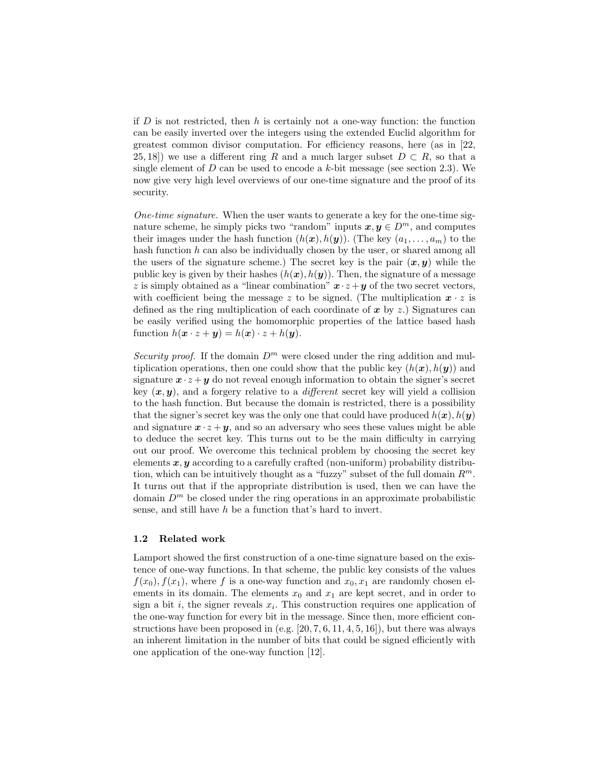if D is not restricted, then h is certainly not a one-way function: the function can be easily inverted over the integers using the extended Euclid algorithm for greatest common divisor computation. For efficiency reasons, here (as in [22, 25, 18]) we use a different ring R and a much larger subset  $D \subset R$ , so that a single element of  $D$  can be used to encode a  $k$ -bit message (see section 2.3). We now give very high level overviews of our one-time signature and the proof of its security.

One-time signature. When the user wants to generate a key for the one-time signature scheme, he simply picks two "random" inputs  $x, y \in D<sup>m</sup>$ , and computes their images under the hash function  $(h(x), h(y))$ . (The key  $(a_1, \ldots, a_m)$  to the hash function  $h$  can also be individually chosen by the user, or shared among all the users of the signature scheme.) The secret key is the pair  $(x, y)$  while the public key is given by their hashes  $(h(x), h(y))$ . Then, the signature of a message z is simply obtained as a "linear combination"  $\mathbf{x} \cdot z + \mathbf{y}$  of the two secret vectors, with coefficient being the message z to be signed. (The multiplication  $x \cdot z$  is defined as the ring multiplication of each coordinate of  $x$  by  $z$ .) Signatures can be easily verified using the homomorphic properties of the lattice based hash function  $h(\mathbf{x} \cdot z + \mathbf{y}) = h(\mathbf{x}) \cdot z + h(\mathbf{y}).$ 

Security proof. If the domain  $D^m$  were closed under the ring addition and multiplication operations, then one could show that the public key  $(h(\boldsymbol{x}), h(\boldsymbol{y}))$  and signature  $\mathbf{x} \cdot \mathbf{z} + \mathbf{y}$  do not reveal enough information to obtain the signer's secret key  $(x, y)$ , and a forgery relative to a *different* secret key will yield a collision to the hash function. But because the domain is restricted, there is a possibility that the signer's secret key was the only one that could have produced  $h(\mathbf{x}), h(\mathbf{y})$ and signature  $\mathbf{x} \cdot \mathbf{z} + \mathbf{y}$ , and so an adversary who sees these values might be able to deduce the secret key. This turns out to be the main difficulty in carrying out our proof. We overcome this technical problem by choosing the secret key elements  $x, y$  according to a carefully crafted (non-uniform) probability distribution, which can be intuitively thought as a "fuzzy" subset of the full domain  $R^m$ . It turns out that if the appropriate distribution is used, then we can have the domain  $D^m$  be closed under the ring operations in an approximate probabilistic sense, and still have  $h$  be a function that's hard to invert.

### 1.2 Related work

Lamport showed the first construction of a one-time signature based on the existence of one-way functions. In that scheme, the public key consists of the values  $f(x_0)$ ,  $f(x_1)$ , where f is a one-way function and  $x_0, x_1$  are randomly chosen elements in its domain. The elements  $x_0$  and  $x_1$  are kept secret, and in order to sign a bit i, the signer reveals  $x_i$ . This construction requires one application of the one-way function for every bit in the message. Since then, more efficient constructions have been proposed in (e.g.  $[20, 7, 6, 11, 4, 5, 16]$ ), but there was always an inherent limitation in the number of bits that could be signed efficiently with one application of the one-way function [12].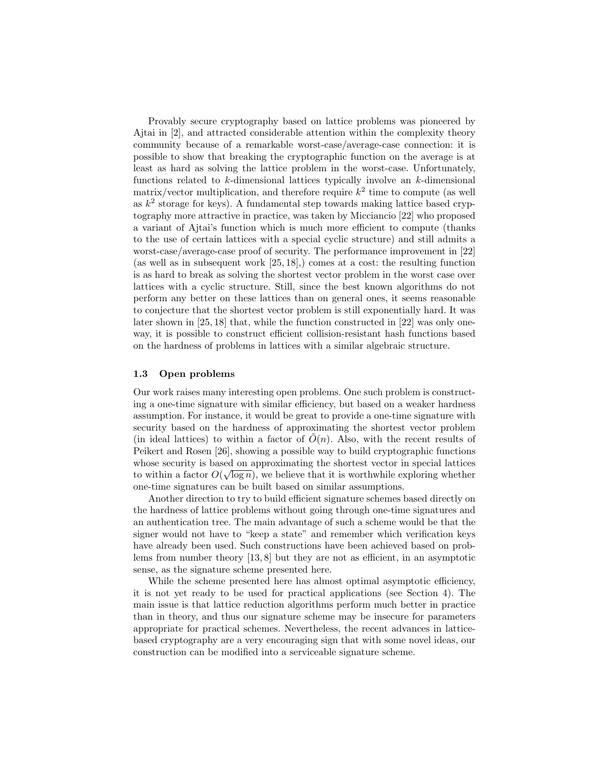Provably secure cryptography based on lattice problems was pioneered by Ajtai in [2], and attracted considerable attention within the complexity theory community because of a remarkable worst-case/average-case connection: it is possible to show that breaking the cryptographic function on the average is at least as hard as solving the lattice problem in the worst-case. Unfortunately, functions related to k-dimensional lattices typically involve an k-dimensional matrix/vector multiplication, and therefore require  $k^2$  time to compute (as well as  $k^2$  storage for keys). A fundamental step towards making lattice based cryptography more attractive in practice, was taken by Micciancio [22] who proposed a variant of Ajtai's function which is much more efficient to compute (thanks to the use of certain lattices with a special cyclic structure) and still admits a worst-case/average-case proof of security. The performance improvement in [22] (as well as in subsequent work [25, 18],) comes at a cost: the resulting function is as hard to break as solving the shortest vector problem in the worst case over lattices with a cyclic structure. Still, since the best known algorithms do not perform any better on these lattices than on general ones, it seems reasonable to conjecture that the shortest vector problem is still exponentially hard. It was later shown in [25, 18] that, while the function constructed in [22] was only oneway, it is possible to construct efficient collision-resistant hash functions based on the hardness of problems in lattices with a similar algebraic structure.

### 1.3 Open problems

Our work raises many interesting open problems. One such problem is constructing a one-time signature with similar efficiency, but based on a weaker hardness assumption. For instance, it would be great to provide a one-time signature with security based on the hardness of approximating the shortest vector problem (in ideal lattices) to within a factor of  $\tilde{O}(n)$ . Also, with the recent results of Peikert and Rosen [26], showing a possible way to build cryptographic functions whose security is based on approximating the shortest vector in special lattices to within a factor  $O(\sqrt{\log n})$ , we believe that it is worthwhile exploring whether one-time signatures can be built based on similar assumptions.

Another direction to try to build efficient signature schemes based directly on the hardness of lattice problems without going through one-time signatures and an authentication tree. The main advantage of such a scheme would be that the signer would not have to "keep a state" and remember which verification keys have already been used. Such constructions have been achieved based on problems from number theory [13, 8] but they are not as efficient, in an asymptotic sense, as the signature scheme presented here.

While the scheme presented here has almost optimal asymptotic efficiency, it is not yet ready to be used for practical applications (see Section 4). The main issue is that lattice reduction algorithms perform much better in practice than in theory, and thus our signature scheme may be insecure for parameters appropriate for practical schemes. Nevertheless, the recent advances in latticebased cryptography are a very encouraging sign that with some novel ideas, our construction can be modified into a serviceable signature scheme.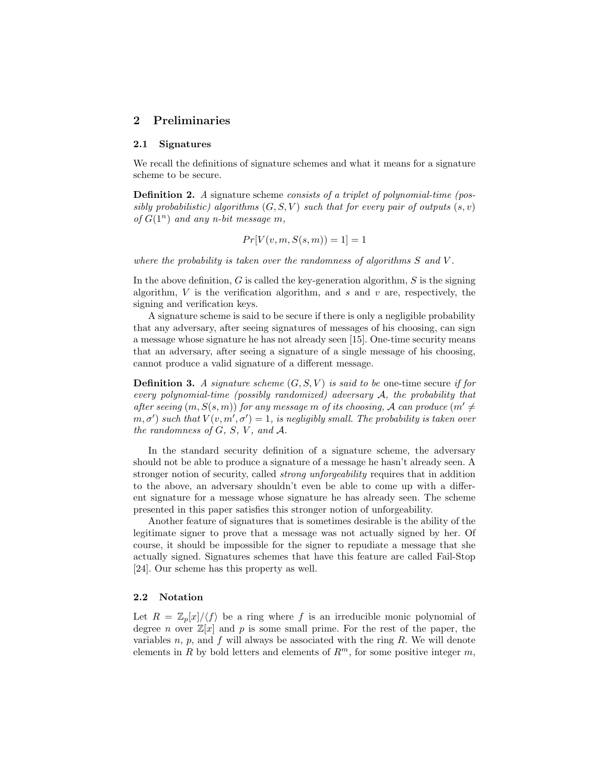# 2 Preliminaries

#### 2.1 Signatures

We recall the definitions of signature schemes and what it means for a signature scheme to be secure.

Definition 2. A signature scheme consists of a triplet of polynomial-time (possibly probabilistic) algorithms  $(G, S, V)$  such that for every pair of outputs  $(s, v)$ of  $G(1^n)$  and any n-bit message m,

$$
Pr[V(v, m, S(s, m)) = 1] = 1
$$

where the probability is taken over the randomness of algorithms  $S$  and  $V$ .

In the above definition,  $G$  is called the key-generation algorithm,  $S$  is the signing algorithm,  $V$  is the verification algorithm, and  $s$  and  $v$  are, respectively, the signing and verification keys.

A signature scheme is said to be secure if there is only a negligible probability that any adversary, after seeing signatures of messages of his choosing, can sign a message whose signature he has not already seen [15]. One-time security means that an adversary, after seeing a signature of a single message of his choosing, cannot produce a valid signature of a different message.

**Definition 3.** A signature scheme  $(G, S, V)$  is said to be one-time secure if for every polynomial-time (possibly randomized) adversary A, the probability that after seeing  $(m, S(s, m))$  for any message m of its choosing, A can produce  $(m' \neq$  $(m, \sigma')$  such that  $V(v, m', \sigma') = 1$ , is negligibly small. The probability is taken over the randomness of  $G, S, V, and A$ .

In the standard security definition of a signature scheme, the adversary should not be able to produce a signature of a message he hasn't already seen. A stronger notion of security, called strong unforgeability requires that in addition to the above, an adversary shouldn't even be able to come up with a different signature for a message whose signature he has already seen. The scheme presented in this paper satisfies this stronger notion of unforgeability.

Another feature of signatures that is sometimes desirable is the ability of the legitimate signer to prove that a message was not actually signed by her. Of course, it should be impossible for the signer to repudiate a message that she actually signed. Signatures schemes that have this feature are called Fail-Stop [24]. Our scheme has this property as well.

#### 2.2 Notation

Let  $R = \mathbb{Z}_p[x]/\langle f \rangle$  be a ring where f is an irreducible monic polynomial of degree *n* over  $\mathbb{Z}[x]$  and *p* is some small prime. For the rest of the paper, the variables  $n, p$ , and  $f$  will always be associated with the ring  $R$ . We will denote elements in R by bold letters and elements of  $R^m$ , for some positive integer m,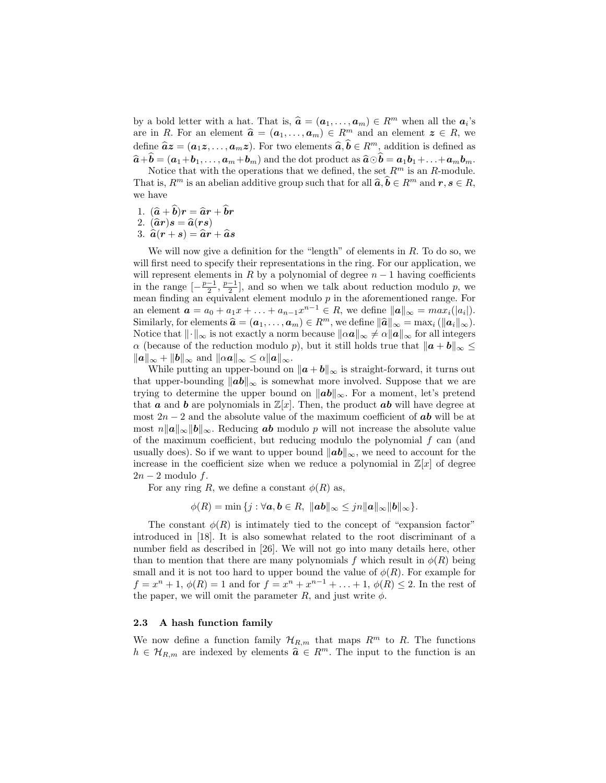by a bold letter with a hat. That is,  $\hat{a} = (a_1, \ldots, a_m) \in R^m$  when all the  $a_i$ 's<br>are in R. For an element  $\hat{a} = (a_1, \ldots, a_m) \in R^m$  and an element  $z \in R$  we are in R. For an element  $\hat{\boldsymbol{a}} = (\boldsymbol{a}_1, \dots, \boldsymbol{a}_m) \in R^m$  and an element  $\boldsymbol{z} \in R$ , we define  $\hat{a}z = (a_1z, \ldots, a_mz)$ . For two elements  $\hat{a}, \hat{b} \in \mathbb{R}^m$ , addition is defined as  $\hat{a} + \hat{b} = (a_1 + b_1, \ldots, a_m + b_m)$  and the dot product as  $\hat{a} \odot \hat{b} = a_1b_1 + \ldots + a_mb_m$ .

Notice that with the operations that we defined, the set  $R^m$  is an R-module. That is,  $R^m$  is an abelian additive group such that for all  $\hat{a}, \hat{b} \in R^m$  and  $r, s \in R$ , we have

- 1.  $(\widehat{a} + \widehat{b})r = \widehat{a}r + \widehat{b}r$
- 2.  $(\widehat{a}r)s = \widehat{a}(rs)$
- 3.  $\widehat{a}(r + s) = \widehat{a}r + \widehat{a}s$

We will now give a definition for the "length" of elements in  $R$ . To do so, we will first need to specify their representations in the ring. For our application, we will represent elements in R by a polynomial of degree  $n-1$  having coefficients in the range  $\left[-\frac{p-1}{2}, \frac{p-1}{2}\right]$ , and so when we talk about reduction modulo p, we mean finding an equivalent element modulo  $p$  in the aforementioned range. For an element  $a = a_0 + a_1 x + ... + a_{n-1} x^{n-1} \in R$ , we define  $||a||_{\infty} = max_i(|a_i|)$ . Similarly, for elements  $\hat{\mathbf{a}} = (\mathbf{a}_1, \dots, \mathbf{a}_m) \in R^m$ , we define  $\|\hat{\mathbf{a}}\|_{\infty} = \max_i (\|\mathbf{a}_i\|_{\infty})$ . Notice that  $\|\cdot\|_{\infty}$  is not exactly a norm because  $\|\alpha a\|_{\infty} \neq \alpha \|a\|_{\infty}$  for all integers  $\alpha$  (because of the reduction modulo p), but it still holds true that  $||a + b||_{\infty} \le$  $||a||_{\infty} + ||b||_{\infty}$  and  $||\alpha a||_{\infty} \le \alpha ||a||_{\infty}$ .

While putting an upper-bound on  $\|\boldsymbol{a} + \boldsymbol{b}\|_{\infty}$  is straight-forward, it turns out that upper-bounding  $\|\boldsymbol{ab}\|_{\infty}$  is somewhat more involved. Suppose that we are trying to determine the upper bound on  $\|\boldsymbol{ab}\|_{\infty}$ . For a moment, let's pretend that **a** and **b** are polynomials in  $\mathbb{Z}[x]$ . Then, the product **ab** will have degree at most  $2n-2$  and the absolute value of the maximum coefficient of **ab** will be at most  $n||a||_{\infty}||b||_{\infty}$ . Reducing **ab** modulo p will not increase the absolute value of the maximum coefficient, but reducing modulo the polynomial  $f$  can (and usually does). So if we want to upper bound  $\|\boldsymbol{ab}\|_{\infty}$ , we need to account for the increase in the coefficient size when we reduce a polynomial in  $\mathbb{Z}[x]$  of degree  $2n-2$  modulo f.

For any ring R, we define a constant  $\phi(R)$  as,

$$
\phi(R)=\min\{j:\forall\boldsymbol{a},\boldsymbol{b}\in R,\;\|\boldsymbol{a}\boldsymbol{b}\|_{\infty}\leq jn\|\boldsymbol{a}\|_{\infty}\|\boldsymbol{b}\|_{\infty}\}.
$$

The constant  $\phi(R)$  is intimately tied to the concept of "expansion factor" introduced in [18]. It is also somewhat related to the root discriminant of a number field as described in [26]. We will not go into many details here, other than to mention that there are many polynomials f which result in  $\phi(R)$  being small and it is not too hard to upper bound the value of  $\phi(R)$ . For example for  $f = x^n + 1, \, \phi(R) = 1$  and for  $f = x^n + x^{n-1} + ... + 1, \, \phi(R) \leq 2$ . In the rest of the paper, we will omit the parameter R, and just write  $\phi$ .

### 2.3 A hash function family

We now define a function family  $\mathcal{H}_{R,m}$  that maps  $R^m$  to R. The functions  $h \in \mathcal{H}_{R,m}$  are indexed by elements  $\hat{a} \in R^m$ . The input to the function is an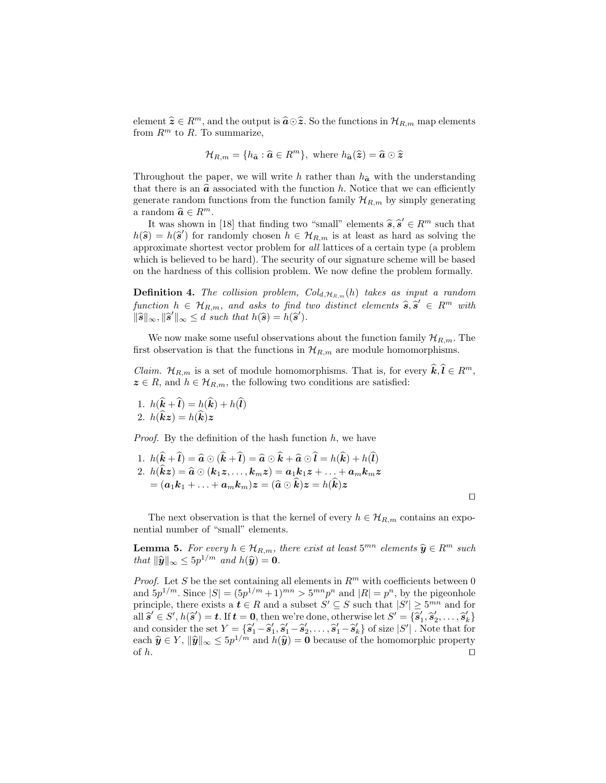element  $\hat{z} \in \mathbb{R}^m$ , and the output is  $\hat{a} \odot \hat{z}$ . So the functions in  $\mathcal{H}_{R,m}$  map elements from  $R^m$  to R. To summarize,

$$
\mathcal{H}_{R,m} = \{h_{\widehat{\mathbf{a}}} : \widehat{\mathbf{a}} \in R^m\}, \text{ where } h_{\widehat{\mathbf{a}}}(\widehat{\mathbf{z}}) = \widehat{\mathbf{a}} \odot \widehat{\mathbf{z}}
$$

Throughout the paper, we will write h rather than  $h_{\hat{a}}$  with the understanding that there is an  $\hat{a}$  associated with the function h. Notice that we can efficiently generate random functions from the function family  $\mathcal{H}_{R,m}$  by simply generating a random  $\widehat{\mathbf{a}} \in R^m$ .

It was shown in [18] that finding two "small" elements  $\hat{s}, \hat{s}' \in R^m$  such that  $\hat{b} \in \mathcal{A}'$  for rendomly chosen  $\hat{b} \in \mathcal{A}'$  is at least as hard as solving the  $h(\hat{\boldsymbol{s}}) = h(\hat{\boldsymbol{s}}')$  for randomly chosen  $h \in \mathcal{H}_{R,m}$  is at least as hard as solving the approximate shortest vector problem for all lattices of a certain type (a problem approximate shortest vector problem for all lattices of a certain type (a problem which is believed to be hard). The security of our signature scheme will be based on the hardness of this collision problem. We now define the problem formally.

**Definition 4.** The collision problem,  $Col_{d, \mathcal{H}_{R,m}}(h)$  takes as input a random function  $h \in \mathcal{H}_{R,m}$ , and asks to find two distinct elements  $\hat{s}, \hat{s}' \in R^m$  with  $\|\hat{s}\| = \|\hat{s}'\| \leq d$  each that  $h(\hat{s}) = h(\hat{s}')$  $\|\widehat{\mathbf{s}}\|_{\infty}, \|\widehat{\mathbf{s}}'\|_{\infty} \leq d$  such that  $h(\widehat{\mathbf{s}}) = h(\widehat{\mathbf{s}}').$ 

We now make some useful observations about the function family  $\mathcal{H}_{R,m}$ . The first observation is that the functions in  $\mathcal{H}_{R,m}$  are module homomorphisms.

*Claim.*  $\mathcal{H}_{R,m}$  is a set of module homomorphisms. That is, for every  $\hat{\mathbf{k}}, \hat{\mathbf{l}} \in R^m$ ,  $z \in R$ , and  $h \in \mathcal{H}_{R,m}$ , the following two conditions are satisfied:

1. 
$$
h(\hat{k} + \hat{l}) = h(\hat{k}) + h(\hat{l})
$$
  
2.  $h(\hat{k}z) = h(\hat{k})z$ 

*Proof.* By the definition of the hash function  $h$ , we have

1. 
$$
h(\hat{k} + \hat{l}) = \hat{a} \odot (\hat{k} + \hat{l}) = \hat{a} \odot \hat{k} + \hat{a} \odot \hat{l} = h(\hat{k}) + h(\hat{l})
$$
  
\n2.  $h(\hat{k}z) = \hat{a} \odot (k_1z, ..., k_mz) = a_1k_1z + ... + a_mk_mz$   
\n $= (a_1k_1 + ... + a_mk_m)z = (\hat{a} \odot \hat{k})z = h(\hat{k})z$ 

 $\Box$ 

The next observation is that the kernel of every  $h \in \mathcal{H}_{R,m}$  contains an exponential number of "small" elements.

**Lemma 5.** For every  $h \in H_{R,m}$ , there exist at least  $5^{mn}$  elements  $\hat{y} \in R^m$  such that  $\|\hat{y}\| \leq 5n^{1/m}$  and  $b(\hat{y}) = 0$ that  $\|\widehat{y}\|_{\infty} \le 5p^{1/m}$  and  $h(\widehat{y}) = 0$ .

*Proof.* Let S be the set containing all elements in  $\mathbb{R}^m$  with coefficients between 0 and  $5p^{1/m}$ . Since  $|S| = (5p^{1/m} + 1)^{mn} > 5^{mn}p^n$  and  $|R| = p^n$ , by the pigeonhole principle, there exists a  $t \in R$  and a subset  $S' \subseteq S$  such that  $|S'| \ge 5^{mn}$  and for all  $\hat{s}' \in S'$ ,  $h(\hat{s}') = t$ . If  $t = 0$ , then we're done, otherwise let  $S' = {\hat{s}'_1, \hat{s}'_2, \dots, \hat{s}'_k}$ and consider the set  $Y = {\hat{s}_1 - \hat{s}_1', \hat{s}_1' - \hat{s}_2', \dots, \hat{s}_1' - \hat{s}_k'}$  of size  $|S'|$ . Note that for each  $\hat{\mathbf{y}} \in Y$ ,  $\|\hat{\mathbf{y}}\|_{\infty} \le 5p^{1/m}$  and  $h(\hat{\mathbf{y}}) = \mathbf{0}$  because of the homomorphic property of  $h$ .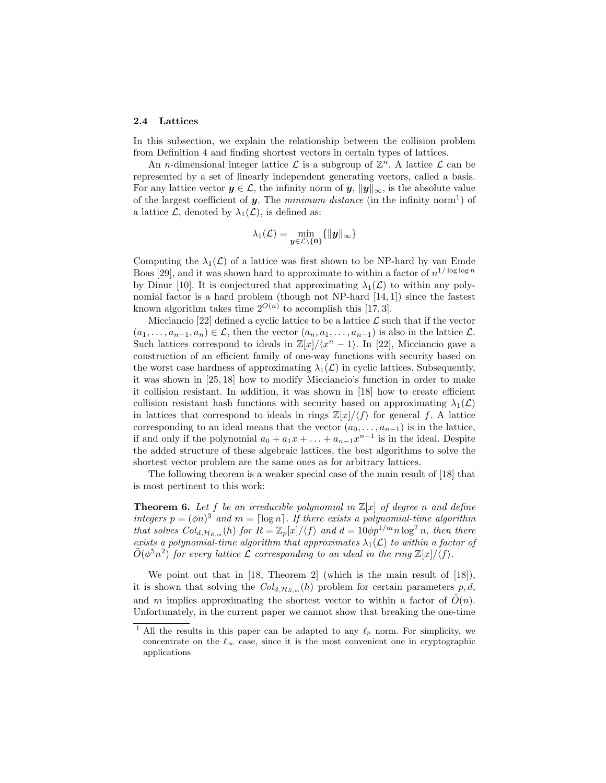#### 2.4 Lattices

In this subsection, we explain the relationship between the collision problem from Definition 4 and finding shortest vectors in certain types of lattices.

An *n*-dimensional integer lattice  $\mathcal L$  is a subgroup of  $\mathbb Z^n$ . A lattice  $\mathcal L$  can be represented by a set of linearly independent generating vectors, called a basis. For any lattice vector  $y \in \mathcal{L}$ , the infinity norm of  $y, ||y||_{\infty}$ , is the absolute value of the largest coefficient of **y**. The minimum distance (in the infinity norm<sup>1</sup>) of a lattice  $\mathcal{L}$ , denoted by  $\lambda_1(\mathcal{L})$ , is defined as:

$$
\lambda_1(\mathcal{L}) = \min_{\bm{y} \in \mathcal{L} \setminus \{\bm{0}\}} \{ \|\bm{y}\|_\infty \}
$$

Computing the  $\lambda_1(\mathcal{L})$  of a lattice was first shown to be NP-hard by van Emde Boas [29], and it was shown hard to approximate to within a factor of  $n^{1/\log \log n}$ by Dinur [10]. It is conjectured that approximating  $\lambda_1(\mathcal{L})$  to within any polynomial factor is a hard problem (though not NP-hard [14, 1]) since the fastest known algorithm takes time  $2^{O(n)}$  to accomplish this [17, 3].

Micciancio [22] defined a cyclic lattice to be a lattice  $\mathcal L$  such that if the vector  $(a_1, \ldots, a_{n-1}, a_n) \in \mathcal{L}$ , then the vector  $(a_n, a_1, \ldots, a_{n-1})$  is also in the lattice  $\mathcal{L}$ . Such lattices correspond to ideals in  $\mathbb{Z}[x]/\langle x^n-1\rangle$ . In [22], Micciancio gave a construction of an efficient family of one-way functions with security based on the worst case hardness of approximating  $\lambda_1(\mathcal{L})$  in cyclic lattices. Subsequently, it was shown in [25, 18] how to modify Micciancio's function in order to make it collision resistant. In addition, it was shown in [18] how to create efficient collision resistant hash functions with security based on approximating  $\lambda_1(\mathcal{L})$ in lattices that correspond to ideals in rings  $\mathbb{Z}[x]/\langle f \rangle$  for general f. A lattice corresponding to an ideal means that the vector  $(a_0, \ldots, a_{n-1})$  is in the lattice, if and only if the polynomial  $a_0 + a_1x + \ldots + a_{n-1}x^{n-1}$  is in the ideal. Despite the added structure of these algebraic lattices, the best algorithms to solve the shortest vector problem are the same ones as for arbitrary lattices.

The following theorem is a weaker special case of the main result of [18] that is most pertinent to this work:

**Theorem 6.** Let f be an irreducible polynomial in  $\mathbb{Z}[x]$  of degree n and define integers  $p = (\phi n)^3$  and  $m = \lceil \log n \rceil$ . If there exists a polynomial-time algorithm that solves  $Col_{d,1}$ <sub>R<sub>R,m</sub></sub>(h) for  $R = \mathbb{Z}_p[x]/\langle f \rangle$  and  $d = 10\phi p^{1/m} n \log^2 n$ , then there exists a polynomial-time algorithm that approximates  $\lambda_1(\mathcal{L})$  to within a factor of  $\tilde{O}(\phi^5n^2)$  for every lattice  $\mathcal L$  corresponding to an ideal in the ring  $\mathbb Z[x]/\langle f \rangle$ .

We point out that in [18, Theorem 2] (which is the main result of [18]), it is shown that solving the  $Col_{d, \mathcal{H}_{R,m}}(h)$  problem for certain parameters  $p, d$ , and m implies approximating the shortest vector to within a factor of  $O(n)$ . Unfortunately, in the current paper we cannot show that breaking the one-time

<sup>&</sup>lt;sup>1</sup> All the results in this paper can be adapted to any  $\ell_p$  norm. For simplicity, we concentrate on the  $\ell_{\infty}$  case, since it is the most convenient one in cryptographic applications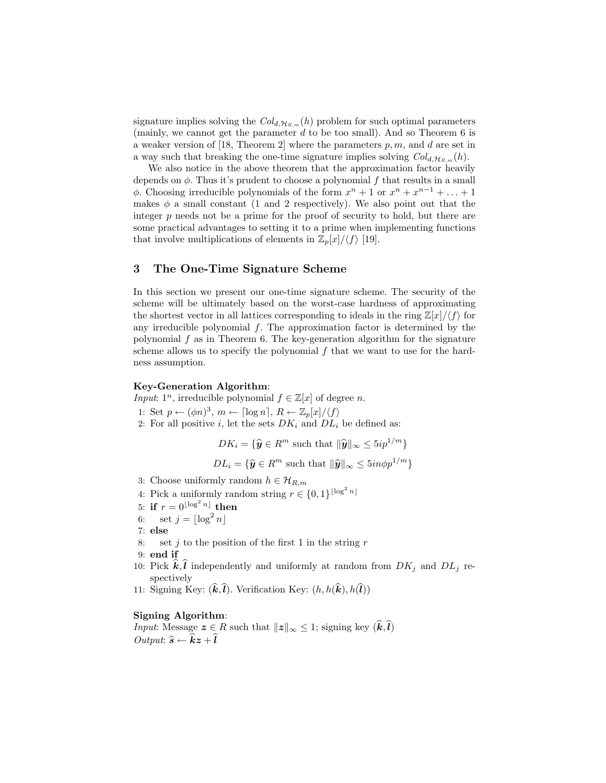signature implies solving the  $Col_{d, \mathcal{H}_{R,m}}(h)$  problem for such optimal parameters (mainly, we cannot get the parameter  $d$  to be too small). And so Theorem 6 is a weaker version of [18, Theorem 2] where the parameters  $p, m$ , and d are set in a way such that breaking the one-time signature implies solving  $Col_{d, \mathcal{H}_{R,m}}(h)$ .

We also notice in the above theorem that the approximation factor heavily depends on  $\phi$ . Thus it's prudent to choose a polynomial f that results in a small  $\phi$ . Choosing irreducible polynomials of the form  $x^n + 1$  or  $x^n + x^{n-1} + \ldots + 1$ makes  $\phi$  a small constant (1 and 2 respectively). We also point out that the integer  $p$  needs not be a prime for the proof of security to hold, but there are some practical advantages to setting it to a prime when implementing functions that involve multiplications of elements in  $\mathbb{Z}_p[x]/\langle f \rangle$  [19].

# 3 The One-Time Signature Scheme

In this section we present our one-time signature scheme. The security of the scheme will be ultimately based on the worst-case hardness of approximating the shortest vector in all lattices corresponding to ideals in the ring  $\mathbb{Z}[x]/\langle f \rangle$  for any irreducible polynomial  $f$ . The approximation factor is determined by the polynomial  $f$  as in Theorem 6. The key-generation algorithm for the signature scheme allows us to specify the polynomial  $f$  that we want to use for the hardness assumption.

### Key-Generation Algorithm:

*Input*:  $1^n$ , irreducible polynomial  $f \in \mathbb{Z}[x]$  of degree n.

1: Set  $p \leftarrow (\phi n)^3$ ,  $m \leftarrow \lceil \log n \rceil$ ,  $R \leftarrow \mathbb{Z}_p[x]/\langle f \rangle$ 

2: For all positive *i*, let the sets  $DK_i$  and  $DL_i$  be defined as:

 $DK_i = {\mathfrak{D}} \in R^m$  such that  $\|\hat{\mathbf{y}}\|_{\infty} \leq 5ip^{1/m}$ 

 $DL_i = {\hat{y} \in R^m \text{ such that } ||\hat{y}||_{\infty} \leq 5in\phi p^{1/m}}$ 

- 3: Choose uniformly random  $h \in \mathcal{H}_{R,m}$
- 4: Pick a uniformly random string  $r \in \{0,1\}^{\lfloor \log^2 n \rfloor}$
- 5: if  $r = 0^{\lfloor \log^2 n \rfloor}$  then
- 6: set  $j = |\log^2 n|$
- 7: else
- 8: set j to the position of the first 1 in the string  $r$

9: end if

- 10: Pick  $\hat{k}, \hat{l}$  independently and uniformly at random from  $DK_j$  and  $DL_j$  respectively
- 11: Signing Key:  $(\widehat{k},\widehat{l})$ . Verification Key:  $(h, h(\widehat{k}), h(\widehat{l}))$

# Signing Algorithm:

Input: Message  $z \in R$  such that  $||z||_{\infty} \leq 1$ ; signing key  $(\hat{k}, \hat{l})$ *Output*:  $\hat{\mathbf{s}} \leftarrow \hat{\mathbf{k}} \mathbf{z} + \hat{\mathbf{l}}$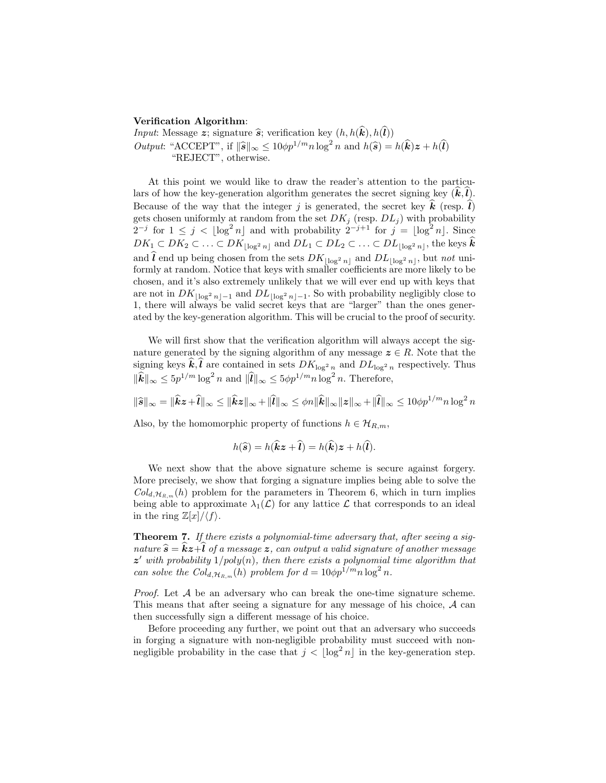#### Verification Algorithm:

*Input*: Message z; signature  $\hat{\mathbf{s}}$ ; verification key  $(h, h(\hat{\mathbf{k}}), h(\hat{\mathbf{l}}))$ Output: "ACCEPT", if  $\|\hat{\mathbf{s}}\|_{\infty} \leq 10 \phi p^{1/m} n \log^2 n$  and  $h(\hat{\mathbf{s}}) = h(\hat{\mathbf{k}}) \mathbf{z} + h(\hat{\mathbf{l}})$ "REJECT", otherwise.

At this point we would like to draw the reader's attention to the particulars of how the key-generation algorithm generates the secret signing key  $(k, l)$ . Because of the way that the integer j is generated, the secret key  $\hat{k}$  (resp.  $\hat{l}$ ) gets chosen uniformly at random from the set  $DK_i$  (resp.  $DL_i$ ) with probability  $2^{-j}$  for  $1 \leq j < |\log^2 n|$  and with probability  $2^{-j+1}$  for  $j = |\log^2 n|$ . Since  $DK_1 \subset DK_2 \subset \ldots \subset DK_{\lfloor \log^2 n \rfloor}$  and  $DL_1 \subset DL_2 \subset \ldots \subset DL_{\lfloor \log^2 n \rfloor}$ , the keys  $\bm{k}$ and **l** end up being chosen from the sets  $DK_{\lfloor \log^2 n \rfloor}$  and  $DL_{\lfloor \log^2 n \rfloor}$ , but not uniformly at random. Notice that keys with smaller coefficients are more likely to be chosen, and it's also extremely unlikely that we will ever end up with keys that are not in  $DK_{\lfloor \log^2 n \rfloor - 1}$  and  $DL_{\lfloor \log^2 n \rfloor - 1}$ . So with probability negligibly close to 1, there will always be valid secret keys that are "larger" than the ones generated by the key-generation algorithm. This will be crucial to the proof of security.

We will first show that the verification algorithm will always accept the signature generated by the signing algorithm of any message  $z \in R$ . Note that the signing keys  $\hat{k}, \hat{l}$  are contained in sets  $DK_{\log^2 n}$  and  $DL_{\log^2 n}$  respectively. Thus  $\|\widehat{k}\|_{\infty} \le 5p^{1/m} \log^2 n$  and  $\|\widehat{l}\|_{\infty} \le 5\phi p^{1/m} n \log^2 n$ . Therefore,

 $\|\widehat{\boldsymbol{\mathcal{S}}}\|_{\infty} = \|\widehat{\boldsymbol{k}}\boldsymbol{z}+\widehat{\boldsymbol{l}}\|_{\infty} \leq \|\widehat{\boldsymbol{k}}\boldsymbol{z}\|_{\infty} + \|\widehat{\boldsymbol{l}}\|_{\infty} \leq \phi n \|\widehat{\boldsymbol{k}}\|_{\infty} \|\boldsymbol{z}\|_{\infty} + \|\widehat{\boldsymbol{l}}\|_{\infty} \leq 10 \phi p^{1/m} n \log^2 n$ 

Also, by the homomorphic property of functions  $h \in \mathcal{H}_{R,m}$ ,

$$
h(\widehat{\mathbf{s}})=h(\widehat{\mathbf{k}}\mathbf{z}+\widehat{\mathbf{l}})=h(\widehat{\mathbf{k}})\mathbf{z}+h(\widehat{\mathbf{l}}).
$$

We next show that the above signature scheme is secure against forgery. More precisely, we show that forging a signature implies being able to solve the  $Col_{d, \mathcal{H}_{R,m}}(h)$  problem for the parameters in Theorem 6, which in turn implies being able to approximate  $\lambda_1(\mathcal{L})$  for any lattice  $\mathcal L$  that corresponds to an ideal in the ring  $\mathbb{Z}[x]/\langle f \rangle$ .

Theorem 7. If there exists a polynomial-time adversary that, after seeing a signature  $\hat{\mathbf{s}} = \hat{\mathbf{k}}\mathbf{z}+\hat{\mathbf{l}}$  of a message z, can output a valid signature of another message  $z'$  with probability  $1/poly(n)$ , then there exists a polynomial time algorithm that can solve the  $Col_{d, \mathcal{H}_{R,m}}(h)$  problem for  $d = 10\phi p^{1/m} n \log^2 n$ .

*Proof.* Let  $A$  be an adversary who can break the one-time signature scheme. This means that after seeing a signature for any message of his choice,  $A$  can then successfully sign a different message of his choice.

Before proceeding any further, we point out that an adversary who succeeds in forging a signature with non-negligible probability must succeed with nonnegligible probability in the case that  $j < |\log^2 n|$  in the key-generation step.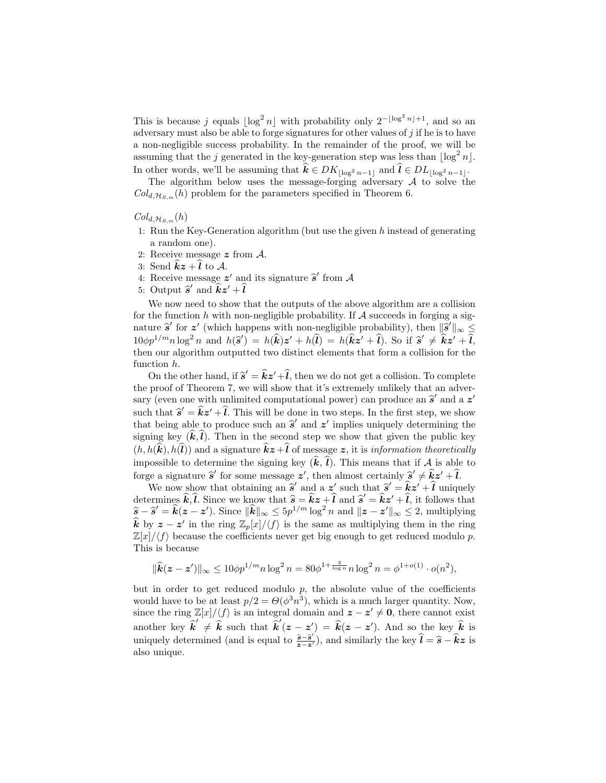This is because j equals  $\lfloor \log^2 n \rfloor$  with probability only  $2^{-\lfloor \log^2 n \rfloor + 1}$ , and so an adversary must also be able to forge signatures for other values of  $j$  if he is to have a non-negligible success probability. In the remainder of the proof, we will be assuming that the j generated in the key-generation step was less than  $\lfloor \log^2 n \rfloor$ . In other words, we'll be assuming that  $k \in DK_{\lfloor \log^2 n-1 \rfloor}$  and  $l \in DL_{\lfloor \log^2 n-1 \rfloor}$ .

The algorithm below uses the message-forging adversary  $A$  to solve the  $Col_{d, \mathcal{H}_{R,m}}(h)$  problem for the parameters specified in Theorem 6.

 $Col_{d, \mathcal{H}_{R,m}}(h)$ 

- 1: Run the Key-Generation algorithm (but use the given  $h$  instead of generating a random one).
- 2: Receive message z from A.
- 3: Send  $\hat{\mathbf{k}}z + \hat{\mathbf{l}}$  to A.
- 4: Receive message  $z'$  and its signature  $\hat{s}'$  from A
- 5: Output  $\hat{\mathbf{s}}'$  and  $\hat{\mathbf{k}}\mathbf{z}' + \hat{\mathbf{l}}$

We now need to show that the outputs of the above algorithm are a collision for the function h with non-negligible probability. If  $A$  succeeds in forging a signature  $\hat{\mathbf{s}}'$  for  $\mathbf{z}'$  (which happens with non-negligible probability), then  $\|\hat{\mathbf{s}}'\|_{\infty} \leq$  $10\phi p^{1/m} n \log^2 n$  and  $h(\hat{s}') = h(\hat{k})z' + h(\hat{l}) = h(\hat{k}z' + \hat{l})$ . So if  $\hat{s}' \neq \hat{k}z' + \hat{l}$ ,<br>then our eleccition outputted two distinct elements that form a sollision for the then our algorithm outputted two distinct elements that form a collision for the function h.

On the other hand, if  $\hat{\mathbf{s}}' = \hat{\mathbf{k}} \hat{\mathbf{z}}' + \hat{\mathbf{l}}$ , then we do not get a collision. To complete the proof of Theorem 7, we will show that it's extremely unlikely that an adversary (even one with unlimited computational power) can produce an  $\hat{s}'$  and a  $z'$ such that  $\hat{\mathbf{s}}' = \hat{\mathbf{k}}\mathbf{z}' + \hat{\mathbf{l}}$ . This will be done in two steps. In the first step, we show that being able to produce such an  $\hat{s}'$  and  $z'$  implies uniquely determining the signing level  $(\hat{h} \hat{l})$ . Then in the second stap we show that sign the public level signing key  $(\hat{k},\hat{l})$ . Then in the second step we show that given the public key  $(h, h(k), h(l))$  and a signature  $kz+l$  of message z, it is information theoretically impossible to determine the signing key  $(\hat{k}, \hat{l})$ . This means that if A is able to forge a signature  $\hat{s}'$  for some message  $z'$ , then almost certainly  $\hat{s}' \neq \hat{k}z' + \hat{l}$ .<br>We now show that obtaining an  $\hat{s}'$  and a  $z'$  such that  $\hat{s}' - \hat{k}z' + \hat{l}$  unique

We now show that obtaining an  $\hat{s}'$  and a z' such that  $\hat{s}' = \hat{k}z' + \hat{l}$  uniquely<br>or mines  $\hat{k} \hat{l}$ , Since we know that  $\hat{s} = \hat{k}z + \hat{l}$  and  $\hat{s}' = \hat{k}z' + \hat{l}$ , it follows that determines  $\hat{k}, \hat{l}$ . Since we know that  $\hat{s} = \hat{k}z + \hat{l}$  and  $\hat{s}' = \hat{k}z' + \hat{l}$ , it follows that  $\hat{\mathbf{s}} - \hat{\mathbf{s}}' = \hat{\mathbf{k}}(\mathbf{z} - \mathbf{z}')$ . Since  $\|\hat{\mathbf{k}}\|_{\infty} \le 5p^{1/m} \log^2 n$  and  $\|\mathbf{z} - \mathbf{z}'\|_{\infty} \le 2$ , multiplying  $\hat{k}$  by  $z - z'$  in the ring  $\mathbb{Z}_p[x]/\langle f \rangle$  is the same as multiplying them in the ring  $\mathbb{Z}[x]/\langle f \rangle$  because the coefficients never get big enough to get reduced modulo p. This is because

$$
\|\widehat{k}(z-z')\|_{\infty} \le 10\phi p^{1/m} n \log^2 n = 80\phi^{1+\frac{3}{\log n}} n \log^2 n = \phi^{1+o(1)} \cdot o(n^2),
$$

but in order to get reduced modulo  $p$ , the absolute value of the coefficients would have to be at least  $p/2 = \Theta(\phi^3 n^3)$ , which is a much larger quantity. Now, since the ring  $\mathbb{Z}[x]/\langle f \rangle$  is an integral domain and  $z - z' \neq 0$ , there cannot exist another key  $\hat{\mathbf{k}}' \neq \hat{\mathbf{k}}$  such that  $\hat{\mathbf{k}}'(z - z') = \hat{\mathbf{k}}(z - z')$ . And so the key  $\hat{\hat{\mathbf{k}}}$  is uniquely determined (and is equal to  $\frac{\hat{s}-\hat{s}'}{z-z'}$ ), and similarly the key  $\hat{l} = \hat{s} - \hat{k}z$  is also unique.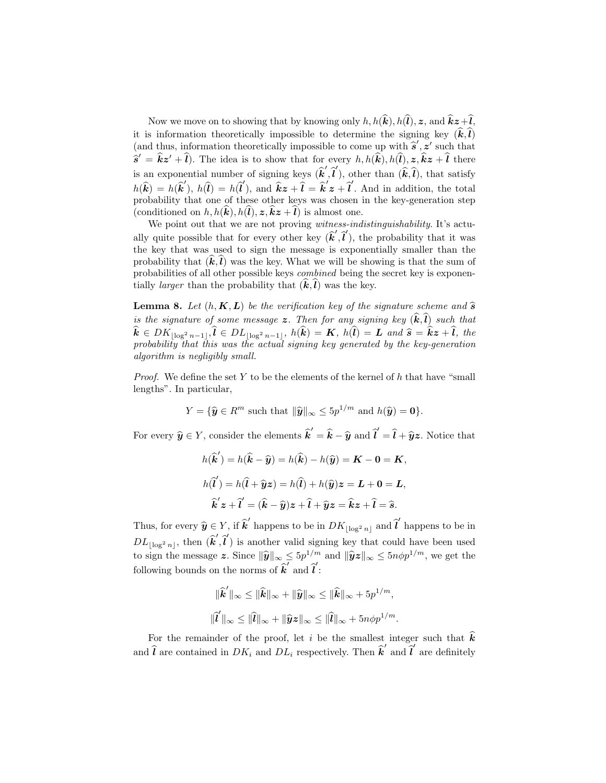Now we move on to showing that by knowing only  $h, h(\hat{k}), h(\hat{l}), z$ , and  $\hat{k}z+\hat{l}$ , it is information theoretically impossible to determine the signing key  $(\hat{k},\hat{l})$ (and thus, information theoretically impossible to come up with  $\hat{s}'$ ,  $z'$  such that  $\hat{\mathbf{s}}' = \hat{\mathbf{k}}\mathbf{z}' + \hat{\mathbf{l}}$ . The idea is to show that for every  $h, h(\hat{\mathbf{k}}), h(\hat{\mathbf{l}}), \mathbf{z}, \hat{\mathbf{k}}\mathbf{z} + \hat{\mathbf{l}}$  there is an exponential number of signing keys  $(\hat{k}', \hat{l}')$ , other than  $(\hat{k}, \hat{l})$ , that satisfy  $h(\hat{k}) = h(\hat{k}'), h(\hat{l}) = h(\hat{l}'), \text{ and } \hat{k}z + \hat{l} = \hat{k}z + \hat{l}'.$  And in addition, the total probability that one of these other keys was chosen in the key-generation step (conditioned on  $h, h(\hat{k}), h(\hat{l}), z, \hat{k}z + \hat{l}$ ) is almost one.

We point out that we are not proving *witness-indistinguishability*. It's actually quite possible that for every other key  $(\hat{k}', \hat{l}')$ , the probability that it was the key that was used to sign the message is exponentially smaller than the probability that  $(k, l)$  was the key. What we will be showing is that the sum of probabilities of all other possible keys combined being the secret key is exponentially *larger* than the probability that  $(k, l)$  was the key.

**Lemma 8.** Let  $(h, K, L)$  be the verification key of the signature scheme and  $\hat{s}$ is the signature of some message z. Then for any signing key  $(\hat{k},\hat{l})$  such that  $k \in DK_{\lfloor \log^2 n-1\rfloor}, l \in DL_{\lfloor \log^2 n-1\rfloor}, h(k) = K$ ,  $h(l) = L$  and  $\hat{s} = kz + l$ , the probability that this was the actual signing key generated by the key-generation algorithm is negligibly small.

*Proof.* We define the set Y to be the elements of the kernel of h that have "small" lengths". In particular,

$$
Y = \{\hat{\boldsymbol{y}} \in R^m \text{ such that } \|\hat{\boldsymbol{y}}\|_{\infty} \le 5p^{1/m} \text{ and } h(\hat{\boldsymbol{y}}) = \mathbf{0}\}.
$$

For every  $\hat{y} \in Y$ , consider the elements  $\hat{k}' = \hat{k} - \hat{y}$  and  $\hat{l}' = \hat{l} + \hat{y}z$ . Notice that

$$
h(\hat{k}') = h(\hat{k} - \hat{y}) = h(\hat{k}) - h(\hat{y}) = K - 0 = K,
$$
  
\n
$$
h(\hat{l}') = h(\hat{l} + \hat{y}z) = h(\hat{l}) + h(\hat{y})z = L + 0 = L,
$$
  
\n
$$
\hat{k}'z + \hat{l}' = (\hat{k} - \hat{y})z + \hat{l} + \hat{y}z = \hat{k}z + \hat{l} = \hat{s}.
$$

Thus, for every  $\hat{y} \in Y$ , if  $\hat{k}'$  happens to be in  $DK_{\lfloor \log^2 n \rfloor}$  and  $\hat{l}'$  happens to be in  $DL_{\lfloor \log^2 n \rfloor}$ , then  $(\hat{\boldsymbol{k}}', \hat{\boldsymbol{l}}')$  is another valid signing key that could have been used to sign the message z. Since  $\|\widehat{y}\|_{\infty} \le 5p^{1/m}$  and  $\|\widehat{y}z\|_{\infty} \le 5n\phi p^{1/m}$ , we get the following bounds on the norms of  $\hat{\boldsymbol{k}}'$  and  $\hat{\boldsymbol{l}}'$ :

$$
\|\widehat{k}'\|_{\infty} \leq \|\widehat{k}\|_{\infty} + \|\widehat{y}\|_{\infty} \leq \|\widehat{k}\|_{\infty} + 5p^{1/m},
$$
  

$$
\|\widehat{l}'\|_{\infty} \leq \|\widehat{l}\|_{\infty} + \|\widehat{y}z\|_{\infty} \leq \|\widehat{l}\|_{\infty} + 5n\phi p^{1/m}.
$$

For the remainder of the proof, let i be the smallest integer such that  $\hat{k}$ and  $\hat{l}$  are contained in  $DK_i$  and  $DL_i$  respectively. Then  $\hat{k}'$  and  $\hat{l}'$  are definitely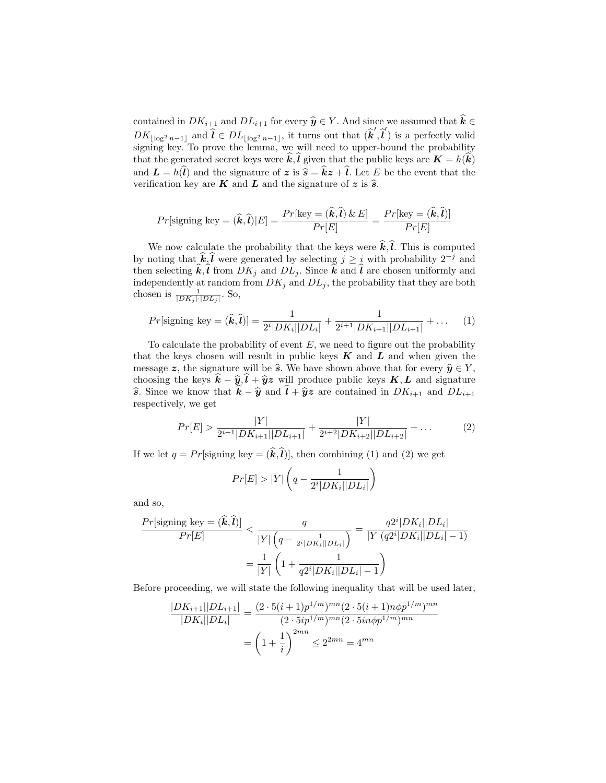contained in  $DK_{i+1}$  and  $DL_{i+1}$  for every  $\hat{y} \in Y$ . And since we assumed that  $\hat{k} \in$  $DK_{\lfloor \log^2 n - 1 \rfloor}$  and  $\hat{\mathbf{l}} \in DL_{\lfloor \log^2 n - 1 \rfloor}$ , it turns out that  $(\hat{\mathbf{k}}', \hat{\mathbf{l}}')$  is a perfectly valid signing key. To prove the lemma, we will need to upper-bound the probability that the generated secret keys were  $\hat{k}, \hat{l}$  given that the public keys are  $K = h(\hat{k})$ and  $\mathbf{L} = h(\hat{\mathbf{l}})$  and the signature of  $\mathbf{z}$  is  $\hat{\mathbf{s}} = \hat{\mathbf{k}}\mathbf{z} + \hat{\mathbf{l}}$ . Let E be the event that the verification key are  $K$  and  $L$  and the signature of  $z$  is  $\hat{s}$ .

$$
Pr[\text{signing key} = (\hat{k}, \hat{l}) | E] = \frac{Pr[\text{key} = (\hat{k}, \hat{l}) \& E]}{Pr[E]} = \frac{Pr[\text{key} = (\hat{k}, \hat{l})]}{Pr[E]}
$$

We now calculate the probability that the keys were  $\hat{k}, \hat{l}$ . This is computed by noting that  $\hat{k}, \hat{l}$  were generated by selecting  $j \geq i$  with probability  $2^{-j}$  and then selecting  $\hat{k}, \hat{l}$  from  $DK_j$  and  $DL_j$ . Since  $\hat{k}$  and  $\hat{l}$  are chosen uniformly and independently at random from  $DK_j$  and  $DL_j$ , the probability that they are both chosen is  $\frac{1}{|DK_j|\cdot|DL_j|}$ . So,

$$
Pr[\text{signing key} = (\hat{k}, \hat{l})] = \frac{1}{2^i |DK_i||DL_i|} + \frac{1}{2^{i+1}|DK_{i+1}||DL_{i+1}|} + \dots \quad (1)
$$

To calculate the probability of event  $E$ , we need to figure out the probability that the keys chosen will result in public keys  $K$  and  $L$  and when given the message z, the signature will be  $\hat{s}$ . We have shown above that for every  $\hat{y} \in Y$ , choosing the keys  $\vec{k} - \hat{y}, \vec{l} + \hat{y}z$  will produce public keys  $K, L$  and signature  $\hat{s}$ . Since we know that  $\hat{k} - \hat{y}$  and  $\hat{l} + \hat{y}z$  are contained in DK<sub>i+1</sub> and DL<sub>i+1</sub> respectively, we get

$$
Pr[E] > \frac{|Y|}{2^{i+1}|DK_{i+1}||DL_{i+1}|} + \frac{|Y|}{2^{i+2}|DK_{i+2}||DL_{i+2}|} + \dots
$$
 (2)

If we let  $q = Pr$  signing key  $= (\hat{k}, \hat{l})$ , then combining (1) and (2) we get

$$
Pr[E] > |Y| \left( q - \frac{1}{2^i |DK_i| |DL_i|} \right)
$$

and so,

$$
\frac{Pr[\text{signing key} = (\hat{k}, \hat{l})]}{Pr[E]} < \frac{q}{|Y| \left(q - \frac{1}{2^i |DK_i||DL_i|}\right)} = \frac{q2^i |DK_i||DL_i|}{|Y| (q2^i |DK_i||DL_i| - 1)}
$$

$$
= \frac{1}{|Y|} \left(1 + \frac{1}{q2^i |DK_i||DL_i| - 1}\right)
$$

Before proceeding, we will state the following inequality that will be used later,

$$
\frac{|DK_{i+1}||DL_{i+1}|}{|DK_i||DL_i|} = \frac{(2 \cdot 5(i+1)p^{1/m})^{mn} (2 \cdot 5(i+1)n\phi p^{1/m})^{mn}}{(2 \cdot 5ip^{1/m})^{mn} (2 \cdot 5in\phi p^{1/m})^{mn}}
$$

$$
= \left(1 + \frac{1}{i}\right)^{2mn} \le 2^{2mn} = 4^{mn}
$$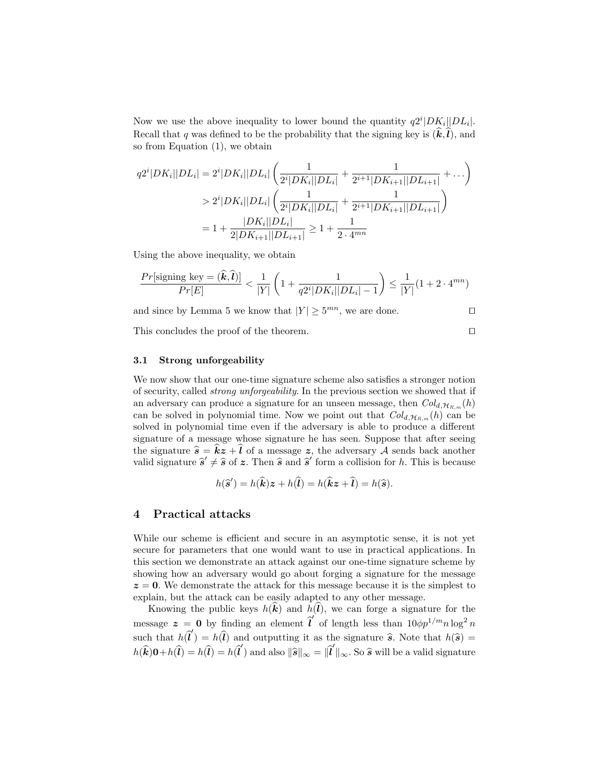Now we use the above inequality to lower bound the quantity  $q2^i|DK_i||DL_i|$ . Recall that q was defined to be the probability that the signing key is  $(\hat{k},\hat{l})$ , and so from Equation (1), we obtain

$$
q2^{i}|DK_{i}||DL_{i}| = 2^{i}|DK_{i}||DL_{i}|\left(\frac{1}{2^{i}|DK_{i}||DL_{i}|} + \frac{1}{2^{i+1}|DK_{i+1}||DL_{i+1}|} + \cdots\right)
$$
  
> 
$$
2^{i}|DK_{i}||DL_{i}|\left(\frac{1}{2^{i}|DK_{i}||DL_{i}|} + \frac{1}{2^{i+1}|DK_{i+1}||DL_{i+1}|}\right)
$$
  
= 
$$
1 + \frac{|DK_{i}||DL_{i}|}{2|DK_{i+1}||DL_{i+1}|} \geq 1 + \frac{1}{2 \cdot 4^{mn}}
$$

Using the above inequality, we obtain

$$
\frac{Pr[\text{signing key} = (\hat{k}, \hat{l})]}{Pr[E]} < \frac{1}{|Y|} \left( 1 + \frac{1}{q2^i |DK_i| |DL_i| - 1} \right) \le \frac{1}{|Y|} (1 + 2 \cdot 4^{mn})
$$

and since by Lemma 5 we know that  $|Y| \ge 5^{mn}$ , we are done.

This concludes the proof of the theorem.  $\Box$ 

### 3.1 Strong unforgeability

We now show that our one-time signature scheme also satisfies a stronger notion of security, called strong unforgeability. In the previous section we showed that if an adversary can produce a signature for an unseen message, then  $Col_{d, \mathcal{H}_{R,m}}(h)$ can be solved in polynomial time. Now we point out that  $Col_{d, \mathcal{H}_{R,m}}(h)$  can be solved in polynomial time even if the adversary is able to produce a different signature of a message whose signature he has seen. Suppose that after seeing the signature  $\hat{s} = \hat{k}z + \hat{l}$  of a message z, the adversary A sends back another valid signature  $\hat{s}' \neq \hat{s}$  of z. Then  $\hat{s}$  and  $\hat{s}'$  form a collision for h. This is because

$$
h(\widehat{\mathbf{s}}') = h(\widehat{\mathbf{k}})\mathbf{z} + h(\widehat{\mathbf{l}}) = h(\widehat{\mathbf{k}}\mathbf{z} + \widehat{\mathbf{l}}) = h(\widehat{\mathbf{s}}).
$$

## 4 Practical attacks

While our scheme is efficient and secure in an asymptotic sense, it is not yet secure for parameters that one would want to use in practical applications. In this section we demonstrate an attack against our one-time signature scheme by showing how an adversary would go about forging a signature for the message  $z = 0$ . We demonstrate the attack for this message because it is the simplest to explain, but the attack can be easily adapted to any other message.

Knowing the public keys  $h(\hat{k})$  and  $h(\hat{l})$ , we can forge a signature for the message  $z = 0$  by finding an element  $\hat{l}$  of length less than  $10\phi p^{1/m} n \log^2 n$ such that  $h(\vec{l}') = h(\hat{l})$  and outputting it as the signature  $\hat{s}$ . Note that  $h(\hat{s}) = h(\hat{l}) \circ h(\hat{s})$  $h(\hat{k})\mathbf{0} + h(\hat{l}) = h(\hat{l}) = h(\hat{l}')$  and also  $\|\hat{s}\|_{\infty} = \|\hat{l}'\|_{\infty}$ . So  $\hat{s}$  will be a valid signature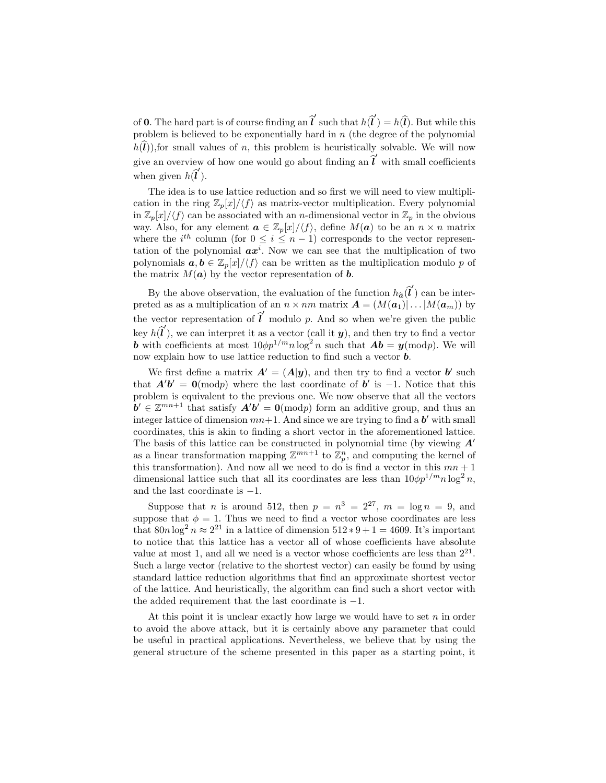of **0**. The hard part is of course finding an  $\hat{\mathbf{l}}'$  such that  $h(\hat{\mathbf{l}}') = h(\hat{\mathbf{l}})$ . But while this problem is believed to be exponentially hard in  $n$  (the degree of the polynomial  $h(\hat{\mathbf{l}})$ , for small values of n, this problem is heuristically solvable. We will now give an overview of how one would go about finding an  $\hat{i}$  with small coefficients when given  $h(\vec{l}')$ .

The idea is to use lattice reduction and so first we will need to view multiplication in the ring  $\mathbb{Z}_p[x]/\langle f \rangle$  as matrix-vector multiplication. Every polynomial in  $\mathbb{Z}_p[x]/\langle f \rangle$  can be associated with an *n*-dimensional vector in  $\mathbb{Z}_p$  in the obvious way. Also, for any element  $\mathbf{a} \in \mathbb{Z}_p[x]/\langle f \rangle$ , define  $M(\mathbf{a})$  to be an  $n \times n$  matrix where the  $i^{th}$  column (for  $0 \leq i \leq n-1$ ) corresponds to the vector representation of the polynomial  $ax^i$ . Now we can see that the multiplication of two polynomials  $a, b \in \mathbb{Z}_p[x]/\langle f \rangle$  can be written as the multiplication modulo p of the matrix  $M(a)$  by the vector representation of **b**.

By the above observation, the evaluation of the function  $h_{\hat{a}}(\hat{l}')$  can be interpreted as as a multiplication of an  $n \times nm$  matrix  $\mathbf{A} = (M(\boldsymbol{a}_1)| \dots | M(\boldsymbol{a}_m))$  by the vector representation of  $\hat{l}'$  modulo p. And so when we're given the public key  $h(\vec{l}')$ , we can interpret it as a vector (call it y), and then try to find a vector **b** with coefficients at most  $10\phi p^{1/m} n \log^2 n$  such that  $A\mathbf{b} = \mathbf{y}(\text{mod}p)$ . We will now explain how to use lattice reduction to find such a vector b.

We first define a matrix  $\mathbf{A}' = (\mathbf{A}|\mathbf{y})$ , and then try to find a vector  $\mathbf{b}'$  such that  $A'b' = 0 \pmod{p}$  where the last coordinate of b' is -1. Notice that this problem is equivalent to the previous one. We now observe that all the vectors  $\mathbf{b}' \in \mathbb{Z}^{mn+1}$  that satisfy  $\mathbf{A}'\mathbf{b}' = \mathbf{0}(\text{mod}p)$  form an additive group, and thus an integer lattice of dimension  $mn+1$ . And since we are trying to find a  $\mathbf{b}'$  with small coordinates, this is akin to finding a short vector in the aforementioned lattice. The basis of this lattice can be constructed in polynomial time (by viewing  $A<sup>'</sup>$ as a linear transformation mapping  $\mathbb{Z}^{mn+1}$  to  $\mathbb{Z}_p^n$ , and computing the kernel of this transformation). And now all we need to do is find a vector in this  $mn + 1$ dimensional lattice such that all its coordinates are less than  $10\phi p^{1/m} n \log^2 n$ , and the last coordinate is −1.

Suppose that *n* is around 512, then  $p = n^3 = 2^{27}$ ,  $m = \log n = 9$ , and suppose that  $\phi = 1$ . Thus we need to find a vector whose coordinates are less that  $80n \log^2 n \approx 2^{21}$  in a lattice of dimension  $512 \times 9 + 1 = 4609$ . It's important to notice that this lattice has a vector all of whose coefficients have absolute value at most 1, and all we need is a vector whose coefficients are less than  $2^{21}$ . Such a large vector (relative to the shortest vector) can easily be found by using standard lattice reduction algorithms that find an approximate shortest vector of the lattice. And heuristically, the algorithm can find such a short vector with the added requirement that the last coordinate is  $-1$ .

At this point it is unclear exactly how large we would have to set  $n$  in order to avoid the above attack, but it is certainly above any parameter that could be useful in practical applications. Nevertheless, we believe that by using the general structure of the scheme presented in this paper as a starting point, it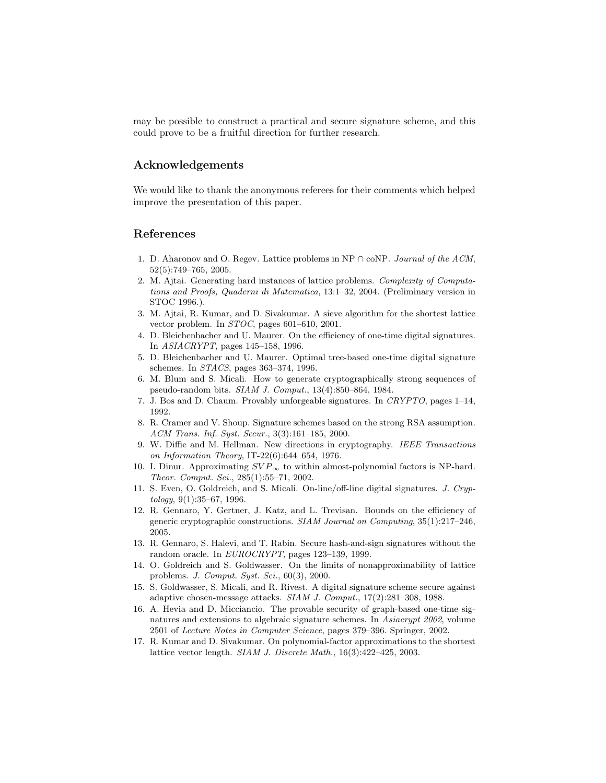may be possible to construct a practical and secure signature scheme, and this could prove to be a fruitful direction for further research.

# Acknowledgements

We would like to thank the anonymous referees for their comments which helped improve the presentation of this paper.

# References

- 1. D. Aharonov and O. Regev. Lattice problems in NP  $\cap$  coNP. Journal of the ACM, 52(5):749–765, 2005.
- 2. M. Ajtai. Generating hard instances of lattice problems. Complexity of Computations and Proofs, Quaderni di Matematica, 13:1–32, 2004. (Preliminary version in STOC 1996.).
- 3. M. Ajtai, R. Kumar, and D. Sivakumar. A sieve algorithm for the shortest lattice vector problem. In STOC, pages 601–610, 2001.
- 4. D. Bleichenbacher and U. Maurer. On the efficiency of one-time digital signatures. In ASIACRYPT, pages 145–158, 1996.
- 5. D. Bleichenbacher and U. Maurer. Optimal tree-based one-time digital signature schemes. In STACS, pages 363–374, 1996.
- 6. M. Blum and S. Micali. How to generate cryptographically strong sequences of pseudo-random bits. SIAM J. Comput., 13(4):850–864, 1984.
- 7. J. Bos and D. Chaum. Provably unforgeable signatures. In CRYPTO, pages 1–14, 1992.
- 8. R. Cramer and V. Shoup. Signature schemes based on the strong RSA assumption. ACM Trans. Inf. Syst. Secur., 3(3):161–185, 2000.
- 9. W. Diffie and M. Hellman. New directions in cryptography. IEEE Transactions on Information Theory, IT-22(6):644–654, 1976.
- 10. I. Dinur. Approximating  $SVP_{\infty}$  to within almost-polynomial factors is NP-hard. Theor. Comput. Sci., 285(1):55–71, 2002.
- 11. S. Even, O. Goldreich, and S. Micali. On-line/off-line digital signatures. J. Cryptology, 9(1):35–67, 1996.
- 12. R. Gennaro, Y. Gertner, J. Katz, and L. Trevisan. Bounds on the efficiency of generic cryptographic constructions. SIAM Journal on Computing, 35(1):217–246, 2005.
- 13. R. Gennaro, S. Halevi, and T. Rabin. Secure hash-and-sign signatures without the random oracle. In EUROCRYPT, pages 123–139, 1999.
- 14. O. Goldreich and S. Goldwasser. On the limits of nonapproximability of lattice problems. J. Comput. Syst. Sci., 60(3), 2000.
- 15. S. Goldwasser, S. Micali, and R. Rivest. A digital signature scheme secure against adaptive chosen-message attacks. SIAM J. Comput., 17(2):281–308, 1988.
- 16. A. Hevia and D. Micciancio. The provable security of graph-based one-time signatures and extensions to algebraic signature schemes. In Asiacrypt 2002, volume 2501 of Lecture Notes in Computer Science, pages 379–396. Springer, 2002.
- 17. R. Kumar and D. Sivakumar. On polynomial-factor approximations to the shortest lattice vector length. SIAM J. Discrete Math., 16(3):422–425, 2003.